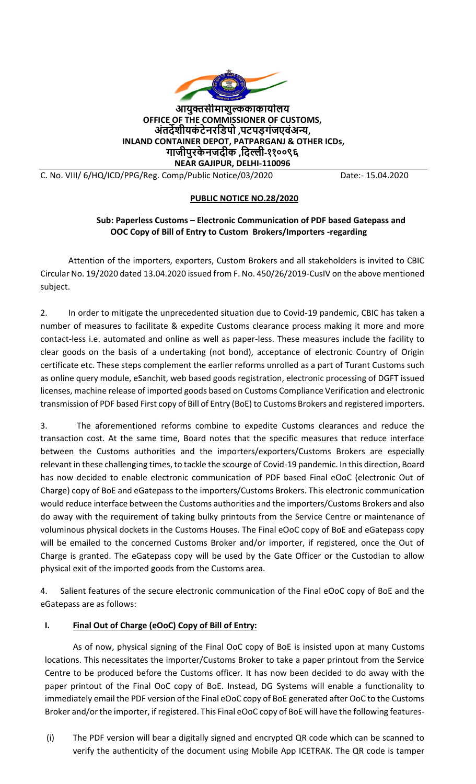

**आयुक्तसीमाशुल्ककाकायाालय OFFICE OF THE COMMISSIONER OF CUSTOMS, अंतर्देशीयकं टेनरडिपो ,पटपड़गंजएवंअन्य , INLAND CONTAINER DEPOT, PATPARGANJ & OTHER ICDs, गाजीपुरके नजर्दीक ,डर्दल्ली-११००९६ NEAR GAJIPUR, DELHI-110096** 

C. No. VIII/ 6/HQ/ICD/PPG/Reg. Comp/Public Notice/03/2020 Date:- 15.04.2020

## **PUBLIC NOTICE NO.28/2020**

## **Sub: Paperless Customs – Electronic Communication of PDF based Gatepass and OOC Copy of Bill of Entry to Custom Brokers/Importers -regarding**

Attention of the importers, exporters, Custom Brokers and all stakeholders is invited to CBIC Circular No. 19/2020 dated 13.04.2020 issued from F. No. 450/26/2019-CusIV on the above mentioned subject.

2. In order to mitigate the unprecedented situation due to Covid-19 pandemic, CBIC has taken a number of measures to facilitate & expedite Customs clearance process making it more and more contact-less i.e. automated and online as well as paper-less. These measures include the facility to clear goods on the basis of a undertaking (not bond), acceptance of electronic Country of Origin certificate etc. These steps complement the earlier reforms unrolled as a part of Turant Customs such as online query module, eSanchit, web based goods registration, electronic processing of DGFT issued licenses, machine release of imported goods based on Customs Compliance Verification and electronic transmission of PDF based First copy of Bill of Entry (BoE) to Customs Brokers and registered importers.

3. The aforementioned reforms combine to expedite Customs clearances and reduce the transaction cost. At the same time, Board notes that the specific measures that reduce interface between the Customs authorities and the importers/exporters/Customs Brokers are especially relevant in these challenging times, to tackle the scourge of Covid-19 pandemic. In this direction, Board has now decided to enable electronic communication of PDF based Final eOoC (electronic Out of Charge) copy of BoE and eGatepass to the importers/Customs Brokers. This electronic communication would reduce interface between the Customs authorities and the importers/Customs Brokers and also do away with the requirement of taking bulky printouts from the Service Centre or maintenance of voluminous physical dockets in the Customs Houses. The Final eOoC copy of BoE and eGatepass copy will be emailed to the concerned Customs Broker and/or importer, if registered, once the Out of Charge is granted. The eGatepass copy will be used by the Gate Officer or the Custodian to allow physical exit of the imported goods from the Customs area.

4. Salient features of the secure electronic communication of the Final eOoC copy of BoE and the eGatepass are as follows:

## **I. Final Out of Charge (eOoC) Copy of Bill of Entry:**

As of now, physical signing of the Final OoC copy of BoE is insisted upon at many Customs locations. This necessitates the importer/Customs Broker to take a paper printout from the Service Centre to be produced before the Customs officer. It has now been decided to do away with the paper printout of the Final OoC copy of BoE. Instead, DG Systems will enable a functionality to immediately email the PDF version of the Final eOoC copy of BoE generated after OoC to the Customs Broker and/or the importer, if registered. This Final eOoC copy of BoE will have the following features-

(i) The PDF version will bear a digitally signed and encrypted QR code which can be scanned to verify the authenticity of the document using Mobile App ICETRAK. The QR code is tamper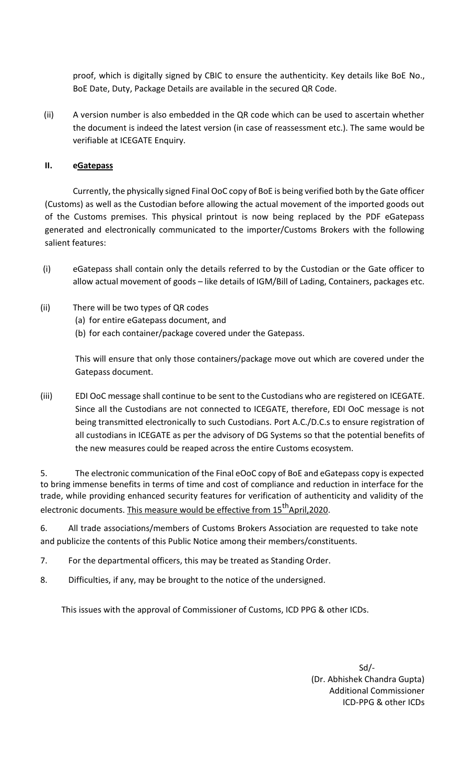proof, which is digitally signed by CBIC to ensure the authenticity. Key details like BoE No., BoE Date, Duty, Package Details are available in the secured QR Code.

(ii) A version number is also embedded in the QR code which can be used to ascertain whether the document is indeed the latest version (in case of reassessment etc.). The same would be verifiable at ICEGATE Enquiry.

## **II. eGatepass**

Currently, the physically signed Final OoC copy of BoE is being verified both by the Gate officer (Customs) as well as the Custodian before allowing the actual movement of the imported goods out of the Customs premises. This physical printout is now being replaced by the PDF eGatepass generated and electronically communicated to the importer/Customs Brokers with the following salient features:

- (i) eGatepass shall contain only the details referred to by the Custodian or the Gate officer to allow actual movement of goods – like details of IGM/Bill of Lading, Containers, packages etc.
- (ii) There will be two types of QR codes
	- (a) for entire eGatepass document, and
	- (b) for each container/package covered under the Gatepass.

This will ensure that only those containers/package move out which are covered under the Gatepass document.

(iii) EDI OoC message shall continue to be sent to the Custodians who are registered on ICEGATE. Since all the Custodians are not connected to ICEGATE, therefore, EDI OoC message is not being transmitted electronically to such Custodians. Port A.C./D.C.s to ensure registration of all custodians in ICEGATE as per the advisory of DG Systems so that the potential benefits of the new measures could be reaped across the entire Customs ecosystem.

5. The electronic communication of the Final eOoC copy of BoE and eGatepass copy is expected to bring immense benefits in terms of time and cost of compliance and reduction in interface for the trade, while providing enhanced security features for verification of authenticity and validity of the electronic documents. This measure would be effective from 15<sup>th</sup>April,2020.

6. All trade associations/members of Customs Brokers Association are requested to take note and publicize the contents of this Public Notice among their members/constituents.

- 7. For the departmental officers, this may be treated as Standing Order.
- 8. Difficulties, if any, may be brought to the notice of the undersigned.

This issues with the approval of Commissioner of Customs, ICD PPG & other ICDs.

Sd/- (Dr. Abhishek Chandra Gupta) Additional Commissioner ICD-PPG & other ICDs